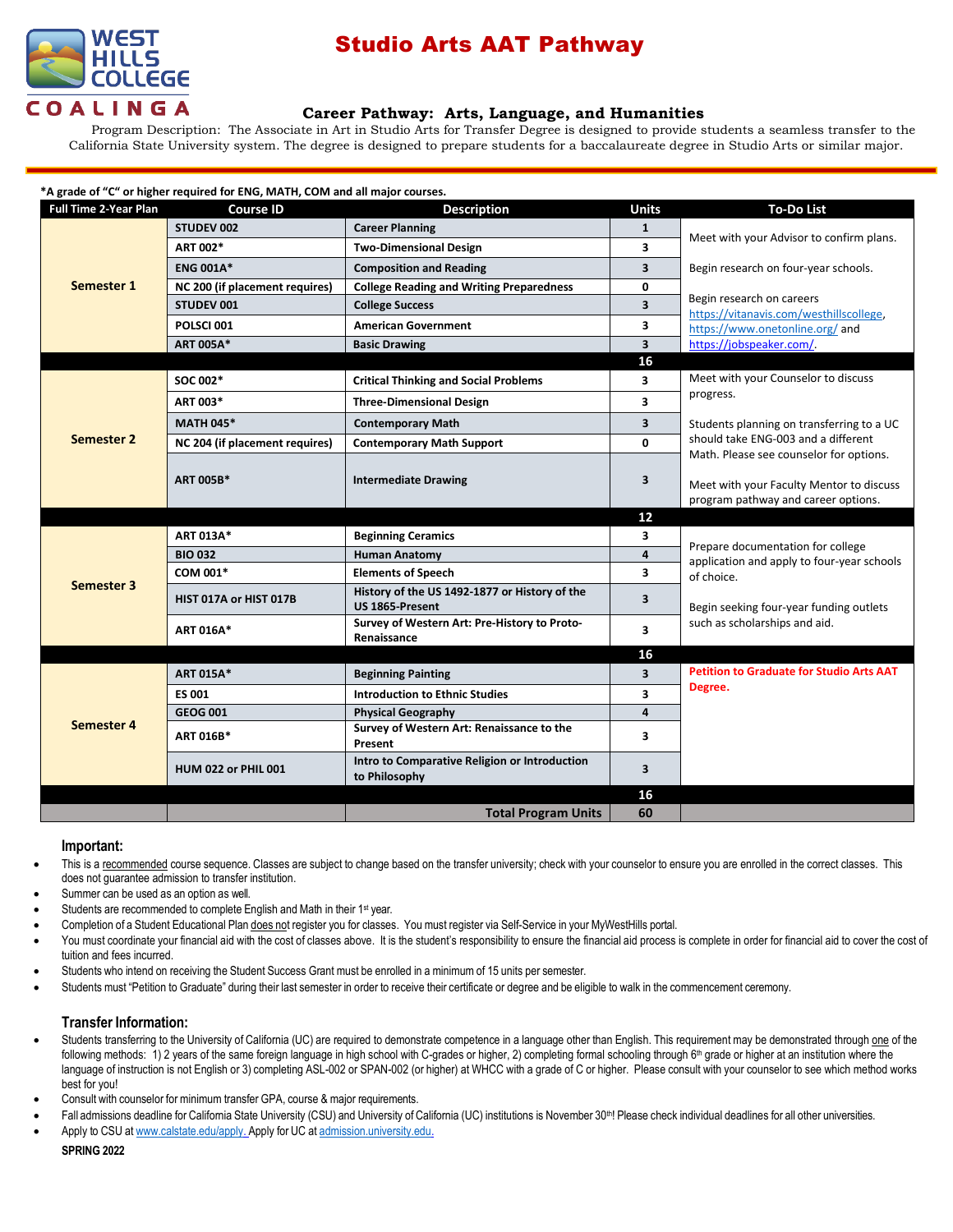

# Studio Arts AAT Pathway

## **[Career Pathway:](http://www.broward.edu/academics/programs/Pages/social-behavioral-sciences-human-services-SBSHS.aspx) Arts, Language, and Humanities**

Program Description: The Associate in Art in Studio Arts for Transfer Degree is designed to provide students a seamless transfer to the California State University system. The degree is designed to prepare students for a baccalaureate degree in Studio Arts or similar major.

| *A grade of "C" or higher required for ENG, MATH, COM and all major courses. |  |
|------------------------------------------------------------------------------|--|
|------------------------------------------------------------------------------|--|

| <b>Full Time 2-Year Plan</b> | <b>Course ID</b>               | <b>Description</b>                                               | <b>Units</b>            | <b>To-Do List</b>                                                                                                                                                         |  |
|------------------------------|--------------------------------|------------------------------------------------------------------|-------------------------|---------------------------------------------------------------------------------------------------------------------------------------------------------------------------|--|
| <b>Semester 1</b>            | STUDEV 002                     | <b>Career Planning</b>                                           | $\mathbf{1}$            |                                                                                                                                                                           |  |
|                              | ART 002*                       | <b>Two-Dimensional Design</b>                                    | 3                       | Meet with your Advisor to confirm plans.                                                                                                                                  |  |
|                              | <b>ENG 001A*</b>               | <b>Composition and Reading</b>                                   | 3                       | Begin research on four-year schools.                                                                                                                                      |  |
|                              | NC 200 (if placement requires) | <b>College Reading and Writing Preparedness</b>                  | 0                       |                                                                                                                                                                           |  |
|                              | <b>STUDEV 001</b>              | <b>College Success</b>                                           | $\overline{\mathbf{3}}$ | Begin research on careers<br>https://vitanavis.com/westhillscollege,<br>https://www.onetonline.org/ and                                                                   |  |
|                              | POLSCI 001                     | <b>American Government</b>                                       | 3                       |                                                                                                                                                                           |  |
|                              | <b>ART 005A*</b>               | <b>Basic Drawing</b>                                             | $\overline{\mathbf{3}}$ | https://jobspeaker.com/                                                                                                                                                   |  |
|                              |                                |                                                                  | 16                      |                                                                                                                                                                           |  |
|                              | SOC 002*                       | <b>Critical Thinking and Social Problems</b>                     | 3                       | Meet with your Counselor to discuss                                                                                                                                       |  |
|                              | ART 003*                       | <b>Three-Dimensional Design</b>                                  | 3                       | progress.                                                                                                                                                                 |  |
|                              | <b>MATH 045*</b>               | <b>Contemporary Math</b>                                         | $\overline{\mathbf{3}}$ | Students planning on transferring to a UC                                                                                                                                 |  |
| Semester 2                   | NC 204 (if placement requires) | <b>Contemporary Math Support</b>                                 | 0                       | should take ENG-003 and a different                                                                                                                                       |  |
|                              | <b>ART 005B*</b>               | <b>Intermediate Drawing</b>                                      | 3                       | Math. Please see counselor for options.<br>Meet with your Faculty Mentor to discuss<br>program pathway and career options.                                                |  |
|                              |                                |                                                                  | 12                      |                                                                                                                                                                           |  |
|                              | <b>ART 013A*</b>               | <b>Beginning Ceramics</b>                                        | 3                       | Prepare documentation for college<br>application and apply to four-year schools<br>of choice.<br>Begin seeking four-year funding outlets<br>such as scholarships and aid. |  |
|                              | <b>BIO 032</b>                 | <b>Human Anatomy</b>                                             | 4                       |                                                                                                                                                                           |  |
| <b>Semester 3</b>            | COM 001*                       | <b>Elements of Speech</b>                                        | 3                       |                                                                                                                                                                           |  |
|                              | HIST 017A or HIST 017B         | History of the US 1492-1877 or History of the<br>US 1865-Present | $\overline{\mathbf{3}}$ |                                                                                                                                                                           |  |
|                              | <b>ART 016A*</b>               | Survey of Western Art: Pre-History to Proto-<br>Renaissance      | 3                       |                                                                                                                                                                           |  |
|                              |                                |                                                                  | 16                      |                                                                                                                                                                           |  |
|                              |                                |                                                                  |                         |                                                                                                                                                                           |  |
|                              | <b>ART 015A*</b>               | <b>Beginning Painting</b>                                        | $\overline{\mathbf{3}}$ | <b>Petition to Graduate for Studio Arts AAT</b>                                                                                                                           |  |
|                              | <b>ES 001</b>                  | <b>Introduction to Ethnic Studies</b>                            | 3                       | Degree.                                                                                                                                                                   |  |
|                              | <b>GEOG 001</b>                | <b>Physical Geography</b>                                        | $\overline{\mathbf{4}}$ |                                                                                                                                                                           |  |
| Semester 4                   | ART 016B*                      | Survey of Western Art: Renaissance to the<br>Present             | 3                       |                                                                                                                                                                           |  |
|                              | <b>HUM 022 or PHIL 001</b>     | Intro to Comparative Religion or Introduction<br>to Philosophy   | 3                       |                                                                                                                                                                           |  |
|                              |                                |                                                                  | 16                      |                                                                                                                                                                           |  |

### **Important:**

- This is a recommended course sequence. Classes are subject to change based on the transfer university; check with your counselor to ensure you are enrolled in the correct classes. This does not guarantee admission to transfer institution.
- Summer can be used as an option as well.
- Students are recommended to complete English and Math in their 1<sup>st</sup> year.
- Completion of a Student Educational Plan does not register you for classes. You must register via Self-Service in your MyWestHills portal.
- You must coordinate your financial aid with the cost of classes above. It is the student's responsibility to ensure the financial aid process is complete in order for financial aid to cover the cost of tuition and fees incurred.
- Students who intend on receiving the Student Success Grant must be enrolled in a minimum of 15 units per semester.
- Students must "Petition to Graduate" during their last semester in order to receive their certificate or degree and be eligible to walk in the commencement ceremony.

## **Transfer Information:**

- Students transferring to the University of California (UC) are required to demonstrate competence in a language other than English. This requirement may be demonstrated through one of the following methods: 1) 2 years of the same foreign language in high school with C-grades or higher, 2) completing formal schooling through 6<sup>th</sup> grade or higher at an institution where the language of instruction is not English or 3) completing ASL-002 or SPAN-002 (or higher) at WHCC with a grade of C or higher. Please consult with your counselor to see which method works best for you!
- Consult with counselor for minimum transfer GPA, course & major requirements.
- Fall admissions deadline for California State University (CSU) and University of California (UC) institutions is November 30<sup>th</sup>! Please check individual deadlines for all other universities.
- Apply to CSU at [www.calstate.edu/apply.](http://www.calstate.edu/apply) Apply for UC at [admission.university.edu.](http://www.apply.universityofcalifornia.edu/)

### **SPRING 2022**